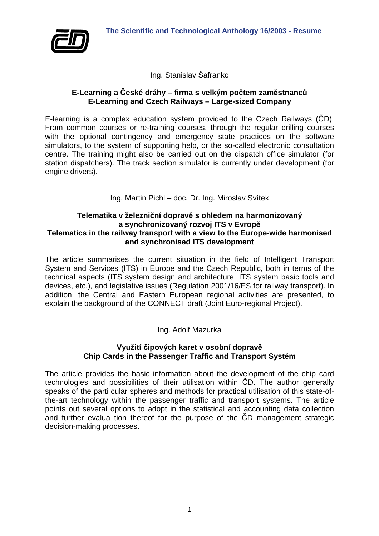

Ing. Stanislav Šafranko

## **E-Learning a České dráhy – firma s velkým počtem zaměstnanců E-Learning and Czech Railways – Large-sized Company**

E-learning is a complex education system provided to the Czech Railways (ČD). From common courses or re-training courses, through the regular drilling courses with the optional contingency and emergency state practices on the software simulators, to the system of supporting help, or the so-called electronic consultation centre. The training might also be carried out on the dispatch office simulator (for station dispatchers). The track section simulator is currently under development (for engine drivers).

Ing. Martin Pichl – doc. Dr. Ing. Miroslav Svítek

## **Telematika v železniční dopravě s ohledem na harmonizovaný a synchronizovaný rozvoj ITS v Evropě Telematics in the railway transport with a view to the Europe-wide harmonised and synchronised ITS development**

The article summarises the current situation in the field of Intelligent Transport System and Services (ITS) in Europe and the Czech Republic, both in terms of the technical aspects (ITS system design and architecture, ITS system basic tools and devices, etc.), and legislative issues (Regulation 2001/16/ES for railway transport). In addition, the Central and Eastern European regional activities are presented, to explain the background of the CONNECT draft (Joint Euro-regional Project).

## Ing. Adolf Mazurka

## **Využití čipových karet v osobní dopravě Chip Cards in the Passenger Traffic and Transport Systém**

The article provides the basic information about the development of the chip card technologies and possibilities of their utilisation within ČD. The author generally speaks of the parti cular spheres and methods for practical utilisation of this state-ofthe-art technology within the passenger traffic and transport systems. The article points out several options to adopt in the statistical and accounting data collection and further evalua tion thereof for the purpose of the ČD management strategic decision-making processes.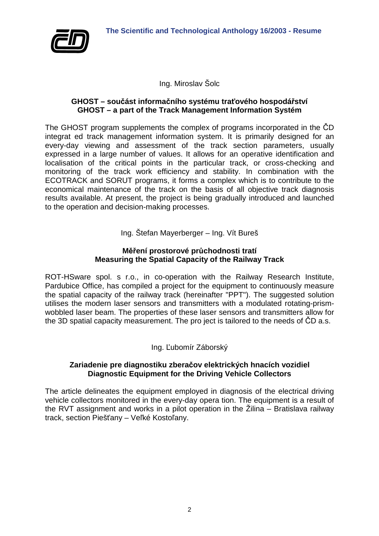

Ing. Miroslav Šolc

#### **GHOST – součást informačního systému traťového hospodářství GHOST – a part of the Track Management Information Systém**

The GHOST program supplements the complex of programs incorporated in the ČD integrat ed track management information system. It is primarily designed for an every-day viewing and assessment of the track section parameters, usually expressed in a large number of values. It allows for an operative identification and localisation of the critical points in the particular track, or cross-checking and monitoring of the track work efficiency and stability. In combination with the ECOTRACK and SORUT programs, it forms a complex which is to contribute to the economical maintenance of the track on the basis of all objective track diagnosis results available. At present, the project is being gradually introduced and launched to the operation and decision-making processes.

Ing. Štefan Mayerberger – Ing. Vít Bureš

#### **Měření prostorové průchodnosti tratí Measuring the Spatial Capacity of the Railway Track**

ROT-HSware spol. s r.o., in co-operation with the Railway Research Institute, Pardubice Office, has compiled a project for the equipment to continuously measure the spatial capacity of the railway track (hereinafter "PPT"). The suggested solution utilises the modern laser sensors and transmitters with a modulated rotating-prismwobbled laser beam. The properties of these laser sensors and transmitters allow for the 3D spatial capacity measurement. The pro ject is tailored to the needs of ČD a.s.

Ing. Ľubomír Záborský

## **Zariadenie pre diagnostiku zberačov elektrických hnacích vozidiel Diagnostic Equipment for the Driving Vehicle Collectors**

The article delineates the equipment employed in diagnosis of the electrical driving vehicle collectors monitored in the every-day opera tion. The equipment is a result of the RVT assignment and works in a pilot operation in the Žilina – Bratislava railway track, section Piešťany – Veľké Kostoľany.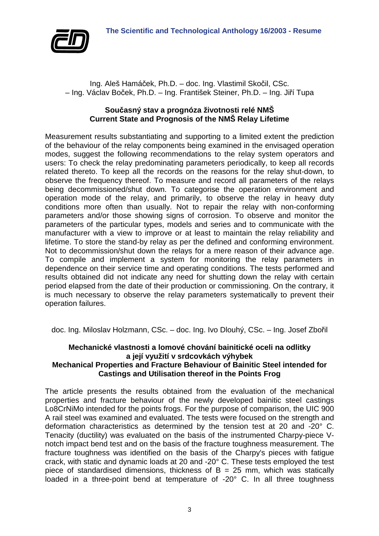

Ing. Aleš Hamáček, Ph.D. – doc. Ing. Vlastimil Skočil, CSc. – Ing. Václav Boček, Ph.D. – Ing. František Steiner, Ph.D. – Ing. Jiří Tupa

## **Současný stav a prognóza životnosti relé NMŠ Current State and Prognosis of the NMŠ Relay Lifetime**

Measurement results substantiating and supporting to a limited extent the prediction of the behaviour of the relay components being examined in the envisaged operation modes, suggest the following recommendations to the relay system operators and users: To check the relay predominating parameters periodically, to keep all records related thereto. To keep all the records on the reasons for the relay shut-down, to observe the frequency thereof. To measure and record all parameters of the relays being decommissioned/shut down. To categorise the operation environment and operation mode of the relay, and primarily, to observe the relay in heavy duty conditions more often than usually. Not to repair the relay with non-conforming parameters and/or those showing signs of corrosion. To observe and monitor the parameters of the particular types, models and series and to communicate with the manufacturer with a view to improve or at least to maintain the relay reliability and lifetime. To store the stand-by relay as per the defined and conforming environment. Not to decommission/shut down the relays for a mere reason of their advance age. To compile and implement a system for monitoring the relay parameters in dependence on their service time and operating conditions. The tests performed and results obtained did not indicate any need for shutting down the relay with certain period elapsed from the date of their production or commissioning. On the contrary, it is much necessary to observe the relay parameters systematically to prevent their operation failures.

doc. Ing. Miloslav Holzmann, CSc. – doc. Ing. Ivo Dlouhý, CSc. – Ing. Josef Zbořil

# **Mechanické vlastnosti a lomové chování bainitické oceli na odlitky a její využití v srdcovkách výhybek**

## **Mechanical Properties and Fracture Behaviour of Bainitic Steel intended for Castings and Utilisation thereof in the Points Frog**

The article presents the results obtained from the evaluation of the mechanical properties and fracture behaviour of the newly developed bainitic steel castings Lo8CrNiMo intended for the points frogs. For the purpose of comparison, the UIC 900 A rail steel was examined and evaluated. The tests were focused on the strength and deformation characteristics as determined by the tension test at 20 and -20° C. Tenacity (ductility) was evaluated on the basis of the instrumented Charpy-piece Vnotch impact bend test and on the basis of the fracture toughness measurement. The fracture toughness was identified on the basis of the Charpy's pieces with fatigue crack, with static and dynamic loads at 20 and -20° C. These tests employed the test piece of standardised dimensions, thickness of  $B = 25$  mm, which was statically loaded in a three-point bend at temperature of -20° C. In all three toughness